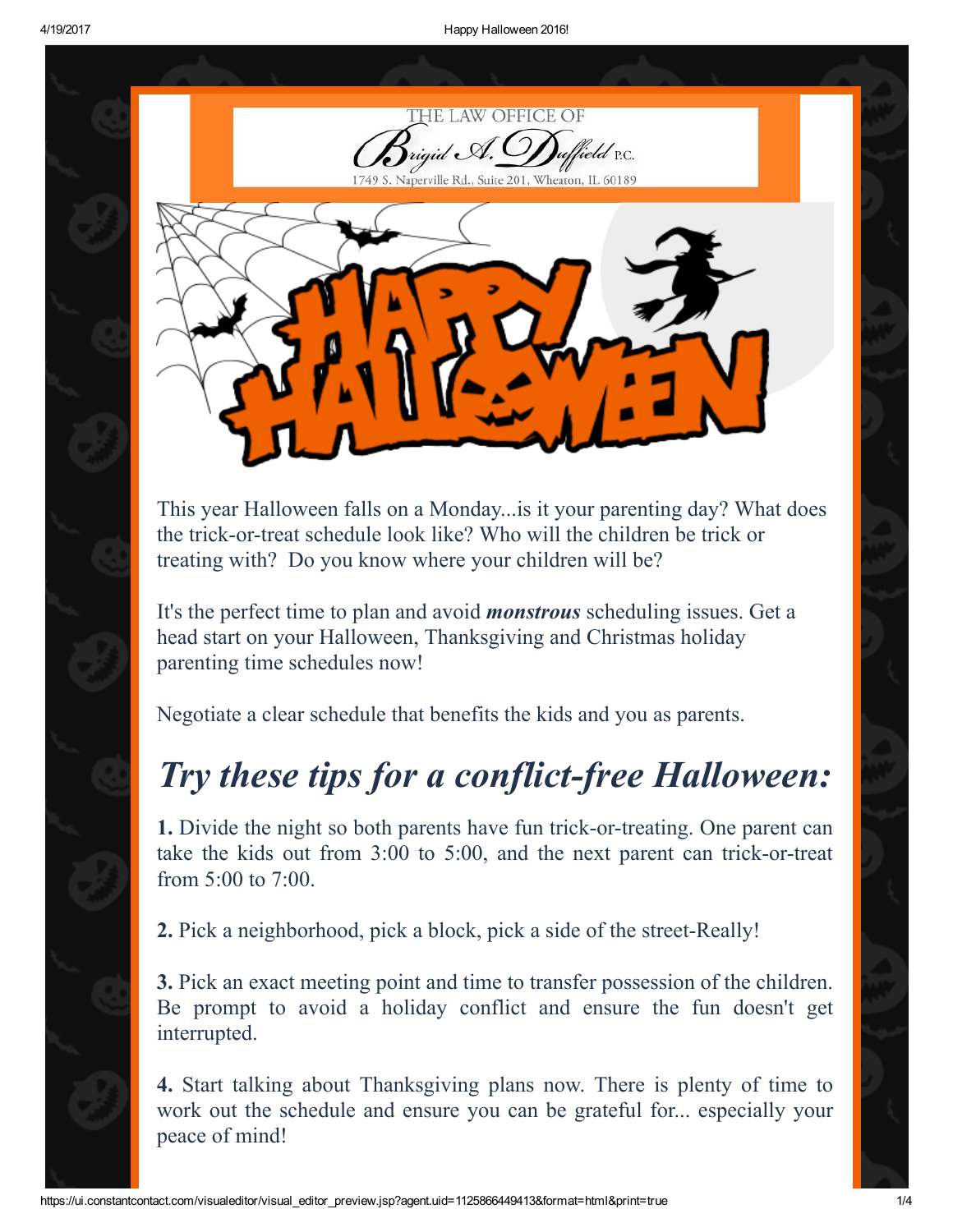

This year Halloween falls on a Monday...is it your parenting day? What does the trick-or-treat schedule look like? Who will the children be trick or treating with? Do you know where your children will be?

It's the perfect time to plan and avoid *monstrous* scheduling issues. Get a head start on your Halloween, Thanksgiving and Christmas holiday parenting time schedules now!

Negotiate a clear schedule that benefits the kids and you as parents.

## *Try these tips for a conflict-free Halloween:*

1. Divide the night so both parents have fun trick-or-treating. One parent can take the kids out from  $3:00$  to  $5:00$ , and the next parent can trick-or-treat from 5:00 to 7:00.

**2.** Pick a neighborhood, pick a block, pick a side of the street-Really!

3. Pick an exact meeting point and time to transfer possession of the children. Be prompt to avoid a holiday conflict and ensure the fun doesn't get interrupted.

4. Start talking about Thanksgiving plans now. There is plenty of time to work out the schedule and ensure you can be grateful for... especially your peace of mind!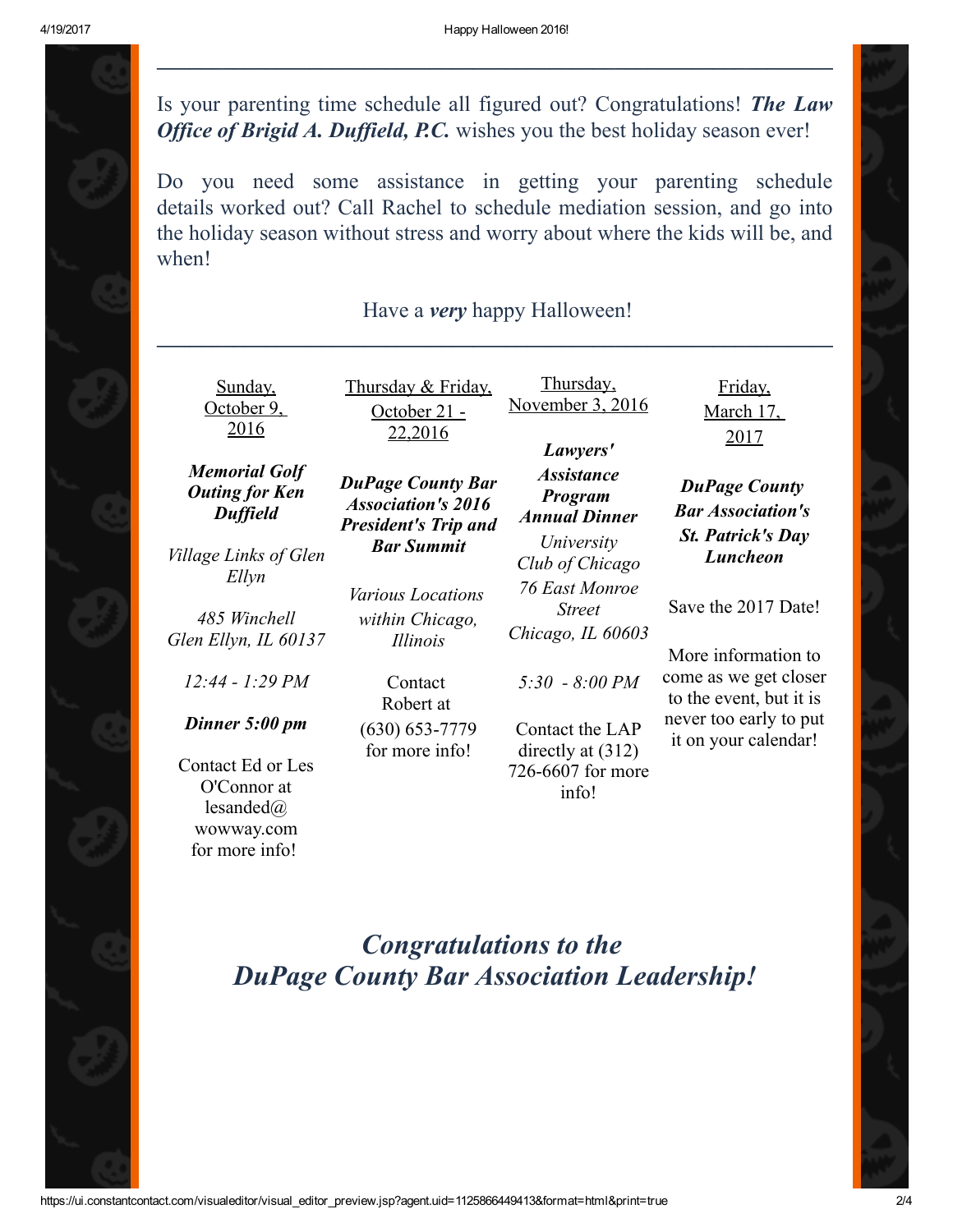Is your parenting time schedule all figured out? Congratulations! *The Law Office of Brigid A. Duffield, P.C.* wishes you the best holiday season ever!

Do you need some assistance in getting your parenting schedule details worked out? Call Rachel to schedule mediation session, and go into the holiday season without stress and worry about where the kids will be, and when!

## Have a *very* happy Halloween!  $\mathcal{L}_\text{max}$  , and the contribution of the contribution of the contribution of the contribution of the contribution of the contribution of the contribution of the contribution of the contribution of the contribution of t

| <u>Sunday,</u><br>October 9.<br>2016                                                             | Thursday & Friday,<br><u>October 21 -</u><br>22,2016                                                      | Thursday,<br>November 3, 2016<br>Lawyers'                                      | Friday,<br>March 17,<br>2017                                                                      |
|--------------------------------------------------------------------------------------------------|-----------------------------------------------------------------------------------------------------------|--------------------------------------------------------------------------------|---------------------------------------------------------------------------------------------------|
| <b>Memorial Golf</b><br><b>Outing for Ken</b><br><b>Duffield</b><br><i>Village Links of Glen</i> | <b>DuPage County Bar</b><br><b>Association's 2016</b><br><b>President's Trip and</b><br><b>Bar Summit</b> | <i><b>Assistance</b></i><br>Program<br><b>Annual Dinner</b><br>University      | <b>DuPage County</b><br><b>Bar Association's</b><br><b>St. Patrick's Day</b><br><b>Luncheon</b>   |
| Ellyn<br>485 Winchell<br>Glen Ellyn, IL 60137                                                    | <i>Various Locations</i><br>within Chicago,<br><i>Illinois</i>                                            | Club of Chicago<br><b>76 East Monroe</b><br><b>Street</b><br>Chicago, IL 60603 | Save the 2017 Date!                                                                               |
| $12:44 - 1:29 PM$<br>Dinner 5:00 pm                                                              | Contact<br>Robert at                                                                                      | $5:30 - 8:00 PM$                                                               | More information to<br>come as we get closer<br>to the event, but it is<br>never too early to put |
| Contact Ed or Les<br>O'Connor at<br>lesanded $\omega$<br>wowway.com<br>for more info!            | $(630) 653 - 7779$<br>for more info!                                                                      | Contact the LAP<br>directly at $(312)$<br>726-6607 for more<br>info!           | it on your calendar!                                                                              |

## *Congratulations to the DuPage County Bar Association Leadership!*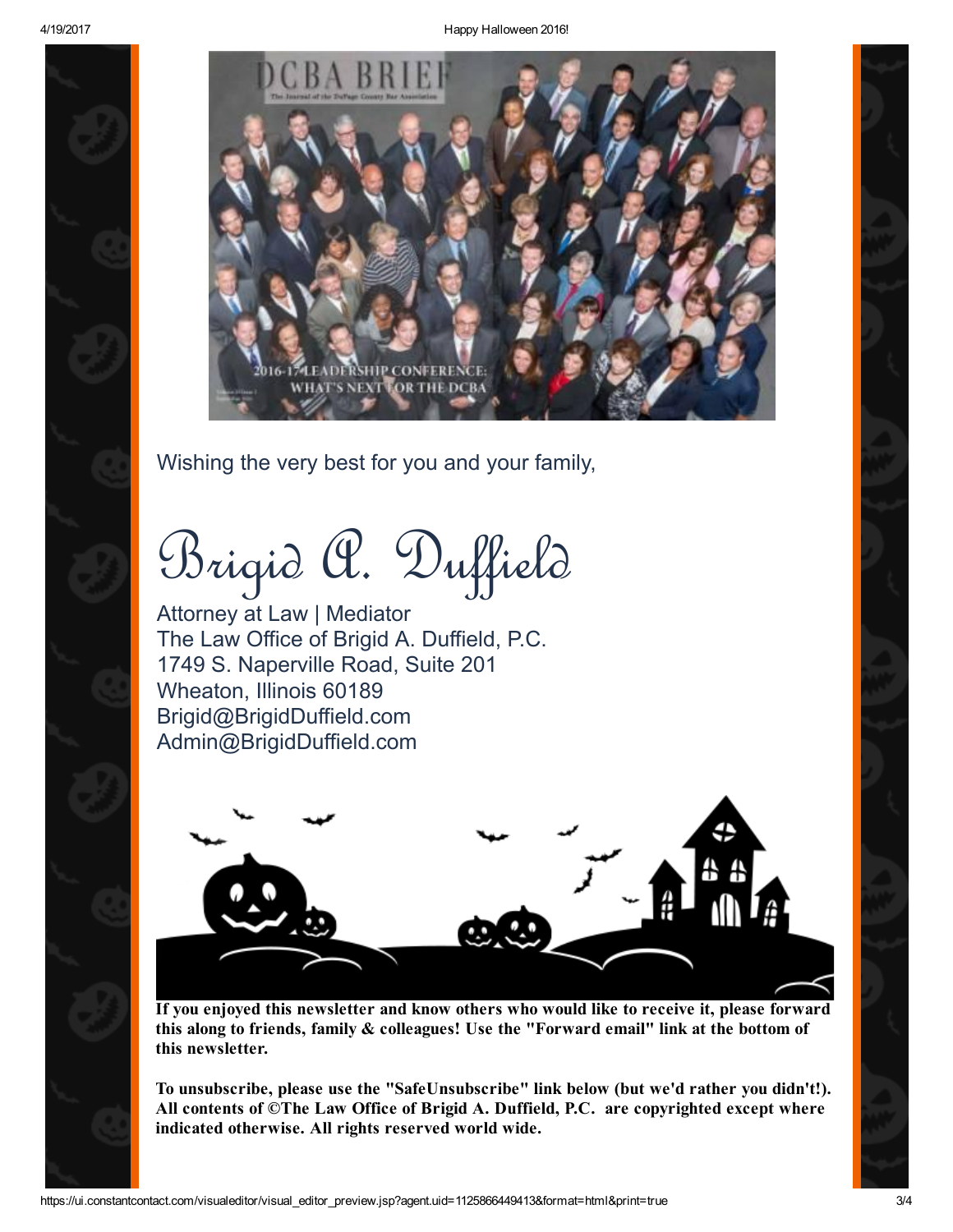4/19/2017 Happy Halloween 2016!



Wishing the very best for you and your family,

Brigid A. Duffield

Attorney at Law | Mediator The Law Office of Brigid A. Duffield, P.C. 1749 S. Naperville Road, Suite 201 Wheaton, Illinois 60189 Brigid@BrigidDuffield.com Admin@BrigidDuffield.com



If you enjoyed this newsletter and know others who would like to receive it, please forward this along to friends, family & colleagues! Use the "Forward email" link at the bottom of this newsletter.

To unsubscribe, please use the "SafeUnsubscribe" link below (but we'd rather you didn't!). All contents of ©The Law Office of Brigid A. Duffield, P.C. are copyrighted except where indicated otherwise. All rights reserved world wide.